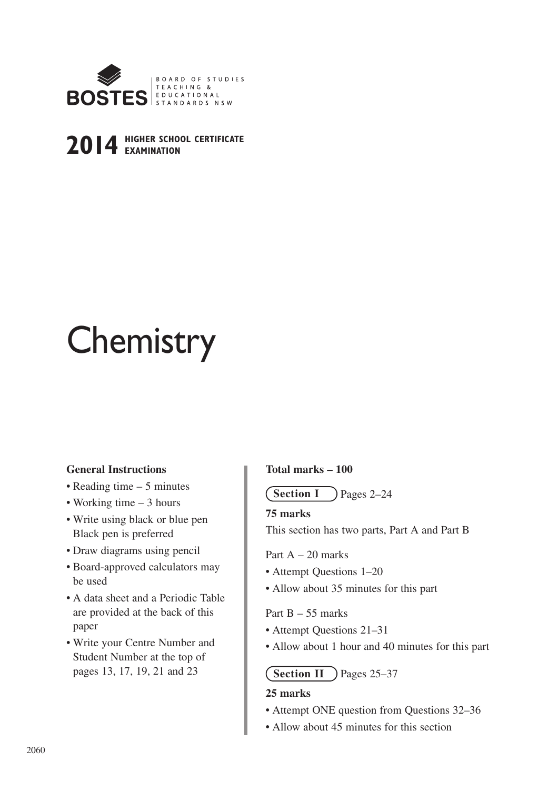



# **Chemistry**

#### **General Instructions**

- Reading time 5 minutes
- Working time 3 hours
- Write using black or blue pen Black pen is preferred
- Draw diagrams using pencil
- Board-approved calculators may be used
- e A data sheet and a Periodic Tabl are provided at the back of this paper
- Write your Centre Number and Student Number at the top of pages 13, 17, 19, 21 and 23

#### **Total marks – 100**

**Section I** Pages 2–24

**75 marks** This section has two parts, Part A and Part B

Part  $A - 20$  marks

- Attempt Questions 1–20
- Allow about 35 minutes for this part

Part  $B - 55$  marks

- Attempt Questions 21–31
- Allow about 1 hour and 40 minutes for this part

## **Section II** Pages 25–37

#### **25 marks**

- Attempt ONE question from Questions 32–36
- Allow about 45 minutes for this section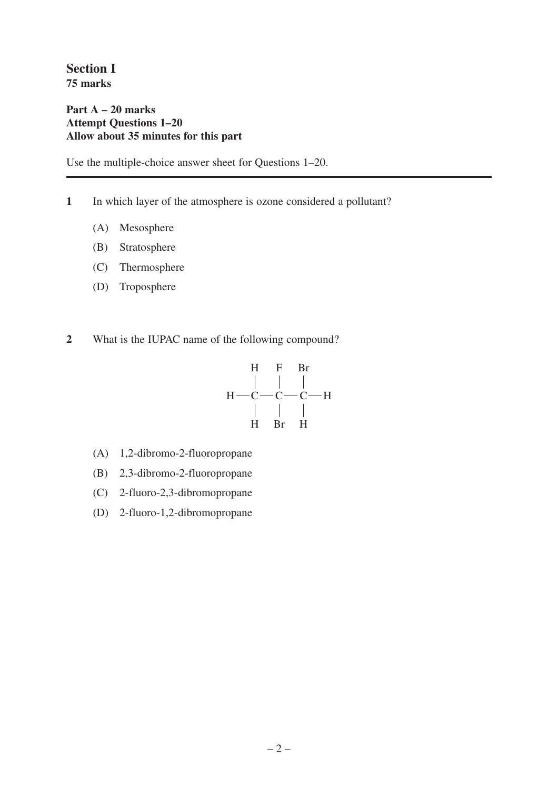## **Section I 75 marks**

#### **Part A – 20 marks Attempt Questions 1–20 Allow about 35 minutes for this part**

Use the multiple-choice answer sheet for Questions 1–20.

- **1** In which layer of the atmosphere is ozone considered a pollutant?
	- (A) Mesosphere
	- (B) Stratosphere
	- (C) Thermosphere
	- (D) Troposphere
- **2** What is the IUPAC name of the following compound?



- (A) 1,2-dibromo-2-fluoropropane
- (B) 2,3-dibromo-2-fluoropropane
- (C) 2-fluoro-2,3-dibromopropane
- (D) 2-fluoro-1,2-dibromopropane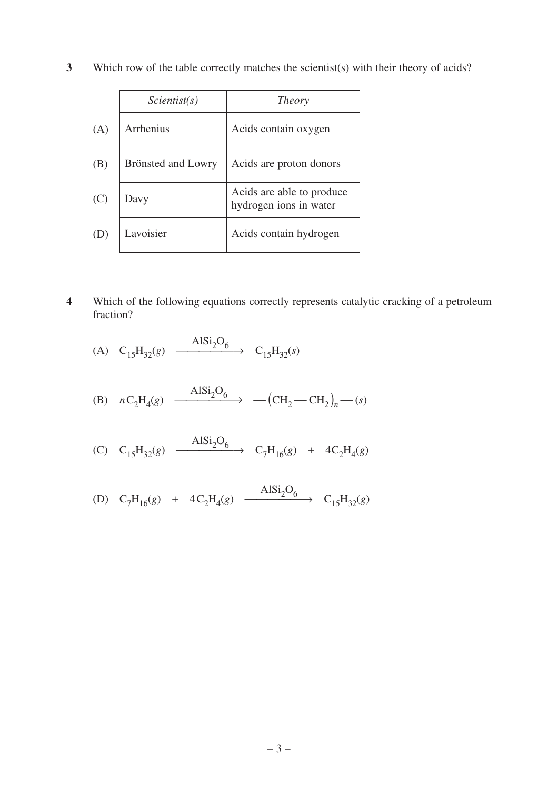|     | Scientist(s)       | <i>Theory</i>                                       |
|-----|--------------------|-----------------------------------------------------|
| (A) | Arrhenius          | Acids contain oxygen                                |
| (B) | Brönsted and Lowry | Acids are proton donors                             |
| (C) | Davy               | Acids are able to produce<br>hydrogen ions in water |
| (D) | Lavoisier          | Acids contain hydrogen                              |

**3** Which row of the table correctly matches the scientist(s) with their theory of acids?

**4** Which of the following equations correctly represents catalytic cracking of a petroleum fraction?

$$
(A) \quad C_{15}H_{32}(g) \xrightarrow{\quad \text{AISi}_2\text{O}_6} \quad C_{15}H_{32}(s)
$$

(B) 
$$
nC_2H_4(g) \xrightarrow{\text{AISi}_2O_6} - (\text{CH}_2-\text{CH}_2)_n - (s)
$$

(C) 
$$
C_{15}H_{32}(g)
$$
  $\xrightarrow{\text{AISi}_2O_6} C_7H_{16}(g) + 4C_2H_4(g)$ 

(D) 
$$
C_7H_{16}(g) + 4C_2H_4(g) \xrightarrow{\text{AIS}_2O_6} C_{15}H_{32}(g)
$$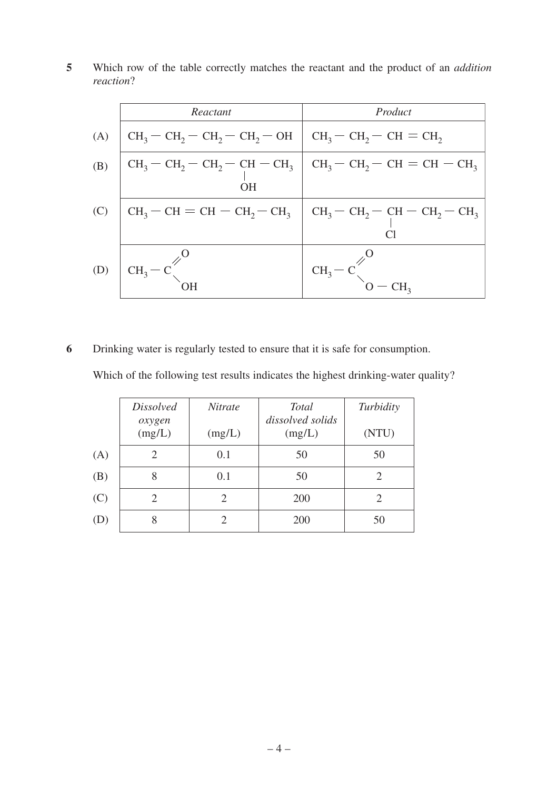|     | Reactant                                         | Product                        |
|-----|--------------------------------------------------|--------------------------------|
| (A) | $CH_3 - CH_2 - CH_2 - CH_2 - OH$                 | $CH_3-CH_2-CH=CH_2$            |
| (B) | $CH_3 - CH_2 - CH_2 - CH - CH_3$<br><b>OH</b>    | $CH_3 - CH_2 - CH = CH - CH_3$ |
| (C) | $CH_3-CH=CH-CH_2-CH_3$                           | $CH_3-CH_2-CH-CH_2-CH_3$<br>Cl |
|     | (D) $\Bigg  \text{CH}_3 - C \Bigg _2^{\sqrt{O}}$ | $CH_3-C$<br>0 - $CH_3$         |

**5** Which row of the table correctly matches the reactant and the product of an *addition reaction*?

**6** Drinking water is regularly tested to ensure that it is safe for consumption.

Which of the following test results indicates the highest drinking-water quality?

|     | <b>Dissolved</b><br>oxygen<br>(mg/L) | <b>Nitrate</b><br>(mg/L)    | <b>Total</b><br>dissolved solids<br>(mg/L) | Turbidity<br>(NTU) |
|-----|--------------------------------------|-----------------------------|--------------------------------------------|--------------------|
| (A) | 2                                    | 0.1                         | 50                                         | 50                 |
| (B) | 8                                    | 0.1                         | 50                                         | $\mathcal{D}$      |
| (C) | $\mathcal{D}_{\cdot}$                | $\mathcal{D}_{\mathcal{A}}$ | 200                                        |                    |
| (D) | 8                                    |                             | 200                                        | 50                 |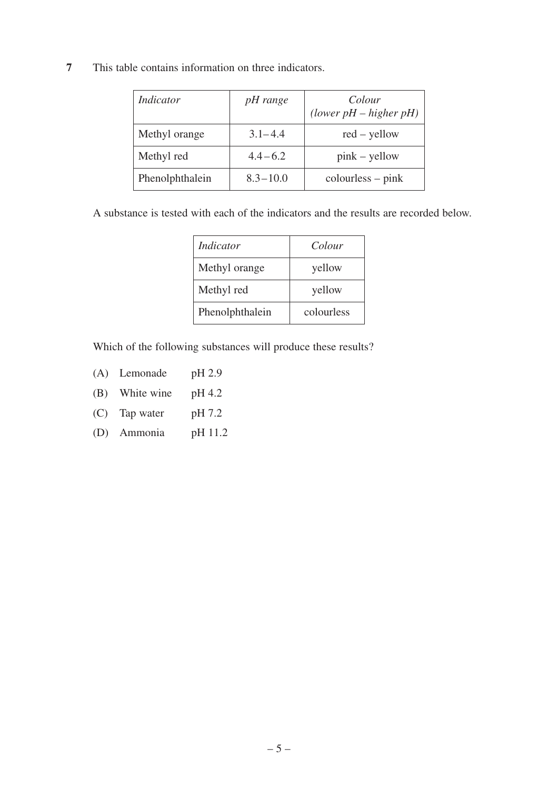**7** This table contains information on three indicators.

| Indicator       | pH range     | Colour<br>$(lower pH - higher pH)$ |
|-----------------|--------------|------------------------------------|
| Methyl orange   | $3.1 - 4.4$  | $red - yellow$                     |
| Methyl red      | $4.4 - 6.2$  | $pink - yellow$                    |
| Phenolphthalein | $8.3 - 10.0$ | $colorless - pink$                 |

A substance is tested with each of the indicators and the results are recorded below.

| Indicator       | Colour     |
|-----------------|------------|
| Methyl orange   | yellow     |
| Methyl red      | yellow     |
| Phenolphthalein | colourless |

Which of the following substances will produce these results?

- (A) Lemonade pH 2.9
- (B) White wine pH 4.2
- (C) Tap water pH 7.2
- (D) Ammonia pH 11.2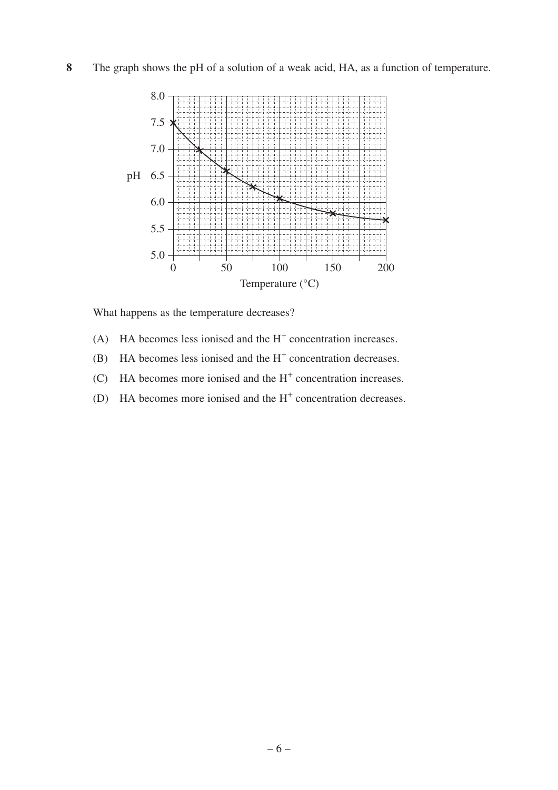**8** The graph shows the pH of a solution of a weak acid, HA, as a function of temperature.



What happens as the temperature decreases?

- (A) HA becomes less ionised and the  $H<sup>+</sup>$  concentration increases.
- (B) HA becomes less ionised and the  $H<sup>+</sup>$  concentration decreases.
- $(C)$  HA becomes more ionised and the  $H<sup>+</sup>$  concentration increases.
- (D) HA becomes more ionised and the H<sup>+</sup> concentration decreases.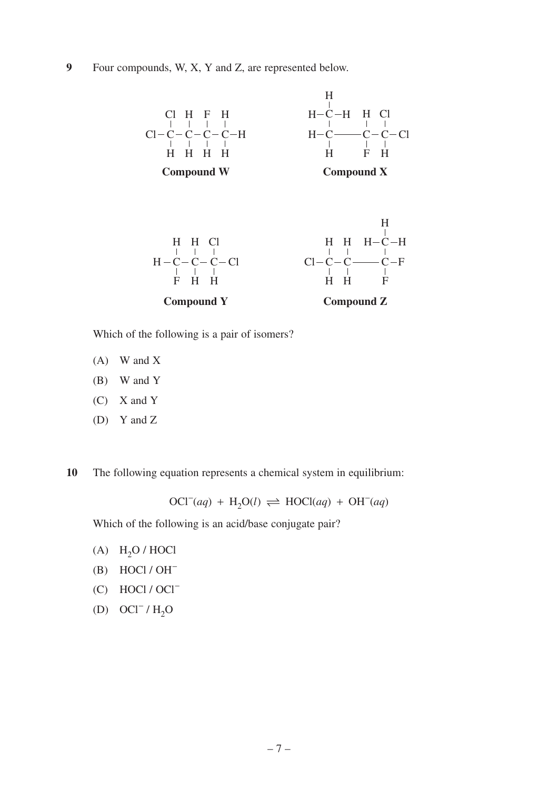**9** Four compounds, W, X, Y and Z, are represented below.



Which of the following is a pair of isomers?

- (A) W and X
- (B) W and Y
- (C) X and Y
- (D) Y and Z
- **10** The following equation represents a chemical system in equilibrium:

OCl<sup>−</sup>(*aq*) + H<sub>2</sub>O(*l*)  $\rightleftharpoons$  HOCl(*aq*) + OH<sup>−</sup>(*aq*)

Which of the following is an acid/base conjugate pair?

- $(A)$  H<sub>2</sub>O / HOCl
- (B) HOCl / OH<sup>−</sup>
- (C) HOCl / OCl<sup>−</sup>
- $(D)$  OCl<sup>−</sup> / H<sub>2</sub>O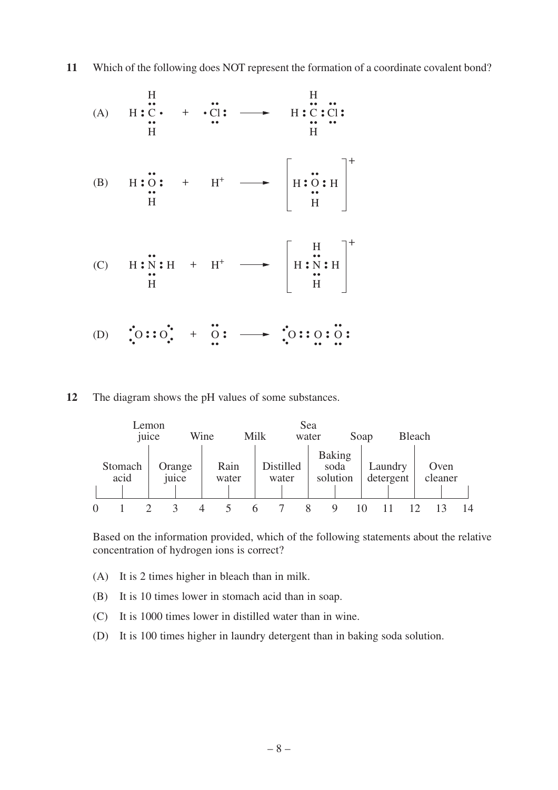**11** Which of the following does NOT represent the formation of a coordinate covalent bond?



**12** The diagram shows the pH values of some substances.

| Lemon<br>juice<br>Wine |                 |  |                 | Sea<br>Milk<br>Soap<br>water |               |  |                    |  | <b>Bleach</b>                     |  |  |                      |  |                 |    |
|------------------------|-----------------|--|-----------------|------------------------------|---------------|--|--------------------|--|-----------------------------------|--|--|----------------------|--|-----------------|----|
|                        | Stomach<br>acid |  | Orange<br>juice |                              | Rain<br>water |  | Distilled<br>water |  | <b>Baking</b><br>soda<br>solution |  |  | Laundry<br>detergent |  | Oven<br>cleaner |    |
|                        |                 |  |                 |                              |               |  |                    |  |                                   |  |  |                      |  |                 |    |
| $\theta$               |                 |  | $\mathbf{z}$    |                              |               |  |                    |  |                                   |  |  |                      |  |                 | 14 |

Based on the information provided, which of the following statements about the relative concentration of hydrogen ions is correct?

- (A) It is 2 times higher in bleach than in milk.
- (B) It is 10 times lower in stomach acid than in soap.
- (C) It is 1000 times lower in distilled water than in wine.
- (D) It is 100 times higher in laundry detergent than in baking soda solution.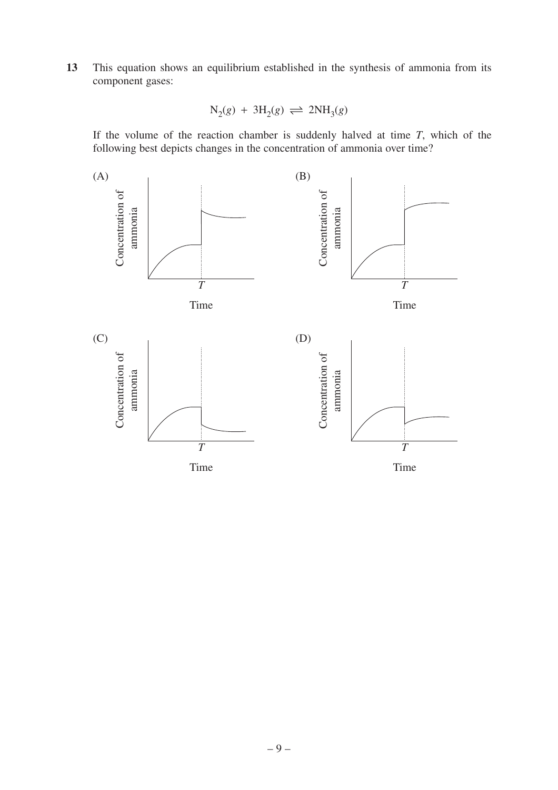**13** This equation shows an equilibrium established in the synthesis of ammonia from its component gases:

 $N_2(g) + 3H_2(g) \rightleftharpoons 2NH_3(g)$ 

If the volume of the reaction chamber is suddenly halved at time *T*, which of the following best depicts changes in the concentration of ammonia over time?

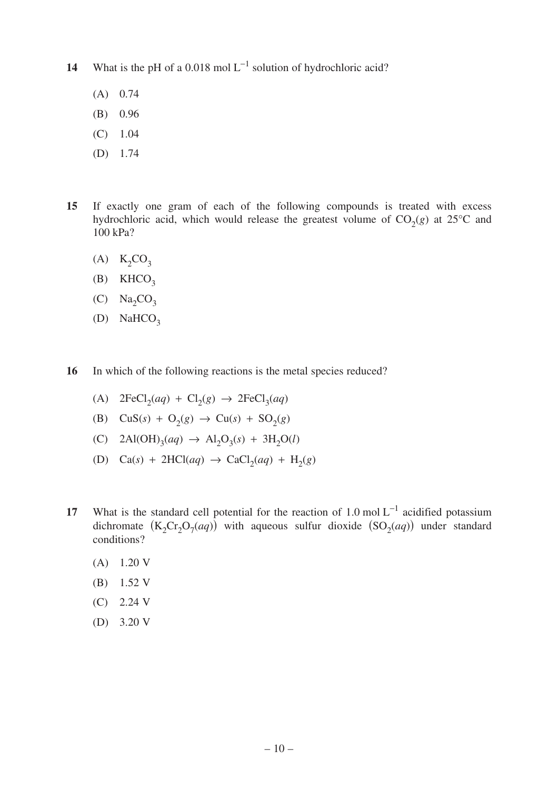- **14** What is the pH of a 0.018 mol L−<sup>1</sup> solution of hydrochloric acid?
	- (A) 0.74
	- (B) 0.96
	- (C) 1.04
	- (D) 1.74
- **15** If exactly one gram of each of the following compounds is treated with excess hydrochloric acid, which would release the greatest volume of  $CO<sub>2</sub>(g)$  at 25°C and 100 kPa?
	- $(A)$  K<sub>2</sub>CO<sub>3</sub>
	- $(B)$  KHCO<sub>3</sub>
	- $(C)$  Na<sub>2</sub>CO<sub>3</sub>
	- (D) NaHCO<sub>3</sub>
- 16 In which of the following reactions is the metal species reduced?
	- $(A)$  2FeCl<sub>2</sub>(*aq*) + Cl<sub>2</sub>(*g*)  $\rightarrow$  2FeCl<sub>3</sub>(*aq*)
	- (B)  $CuS(s) + O_2(g) \rightarrow Cu(s) + SO_2(g)$
	- (C)  $2\text{Al}(\text{OH})_3(aq) \rightarrow \text{Al}_2\text{O}_3(s) + 3\text{H}_2\text{O}(l)$
	- $(D)$  Ca(s) + 2HCl(*aq*)  $\rightarrow$  CaCl<sub>2</sub>(*aq*) + H<sub>2</sub>(*g*)
- **17** What is the standard cell potential for the reaction of 1.0 mol L−<sup>1</sup> acidified potassium dichromate  $(K_2Cr_2O_7(aq))$  with aqueous sulfur dioxide  $(SO_2(aq))$  under standard conditions?
	- $(A)$  1.20 V
	- (B) 1.52 V
	- (C) 2.24 V
	- (D) 3.20 V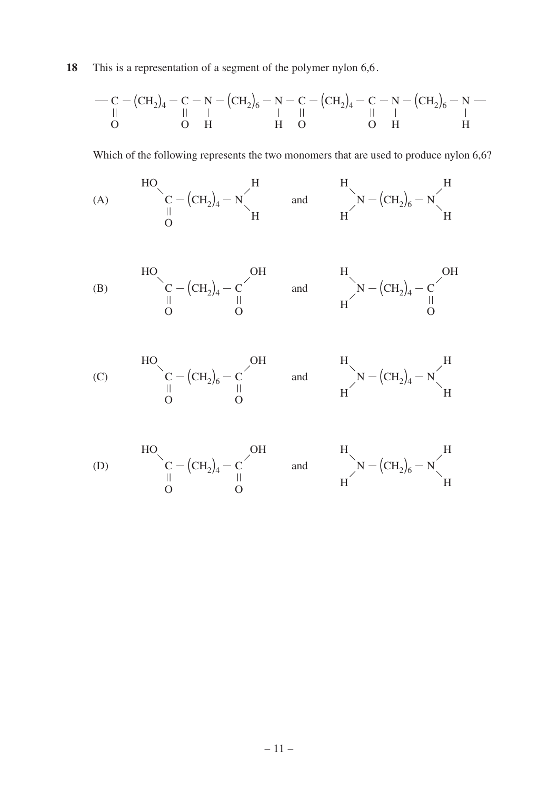**18** This is a representation of a segment of the polymer nylon 6,6.

$$
\begin{array}{c}{-{\rm C}-({\rm CH}_2)_4-{\rm C}-{\rm N}-({\rm CH}_2)_6-{\rm N}-{\rm C}-({\rm CH}_2)_4-{\rm C}-{\rm N} -({\rm CH}_2)_6-{\rm N} \\\scriptstyle \begin{array}{c} \scriptstyle \parallel \scriptstyle -\\ \scriptstyle \scriptstyle \textrm{O}\end{array}}\\ {\rm O} \begin{array}{c} {\rm H} \end{array} \begin{array}{c} \scriptstyle \parallel \scriptstyle +\\ \scriptstyle \scriptstyle \textrm{H}\end{array}}\begin{array}{c} {\rm H} \end{array} \begin{array}{c} {\rm H} \end{array} \begin{array}{c} \scriptstyle \textrm{O} \end{array} \begin{array}{c} \scriptstyle \textrm{H} \end{array} \begin{array}{c} \scriptstyle \textrm{O} \end{array} \begin{array}{c} \scriptstyle \textrm{H} \end{array} \begin{array}{c} \scriptstyle \textrm{H} \end{array}
$$

Which of the following represents the two monomers that are used to produce nylon 6,6?

(A)   
\n
$$
\begin{array}{ccc}\n & HO & H \\
C & (CH_2)_4 - N & \text{and} \\
 & H & H\n\end{array}
$$
\n
$$
\begin{array}{ccc}\n & H & H \\
N & -(CH_2)_6 - N & \text{and} \\
 & H & H\n\end{array}
$$

(B) 
$$
HO
$$
  
\n ${}_{||}^{H O}C - (CH2)4 - C$   
\n ${}_{||}^{H}$  and  ${}_{H}^{H}$   $N - (CH2)4 - C$   
\n ${}_{||}^{H}$ 

(C) 
$$
HO \setminus C - (CH_2)_6 - C \setminus CH \setminus H \setminus H \setminus H
$$
  
\n(D)  $OH$  and  $H \setminus N - (CH_2)_4 - N \setminus H \setminus H$ 

(D) 
$$
HO
$$
  
\n $C - (CH_2)_4 - C$   
\n $0$   
\n $0$   
\n $0$   
\n $H$   
\n $N - (CH_2)_6 - N$   
\n $H$   
\n $H$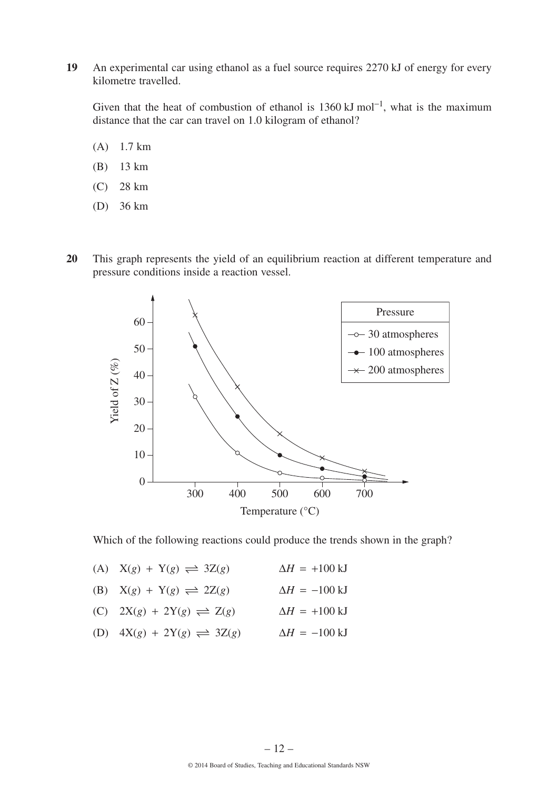**19** An experimental car using ethanol as a fuel source requires 2270 kJ of energy for every kilometre travelled.

Given that the heat of combustion of ethanol is 1360 kJ mol<sup>-1</sup>, what is the maximum distance that the car can travel on 1.0 kilogram of ethanol?

- (A) 1.7 km
- (B) 13 km
- (C) 28 km
- (D) 36 km
- **20** This graph represents the yield of an equilibrium reaction at different temperature and pressure conditions inside a reaction vessel.



Which of the following reactions could produce the trends shown in the graph?

| (A) $X(g) + Y(g) \rightleftharpoons 3Z(g)$    | $\Delta H = +100 \text{ kJ}$ |
|-----------------------------------------------|------------------------------|
| (B) $X(g) + Y(g) \rightleftharpoons 2Z(g)$    | $\Delta H = -100 \text{ kJ}$ |
| $(C)$ $2X(g) + 2Y(g) \rightleftharpoons Z(g)$ | $\Delta H = +100 \text{ kJ}$ |
| (D) $4X(g) + 2Y(g) \rightleftharpoons 3Z(g)$  | $\Delta H = -100 \text{ kJ}$ |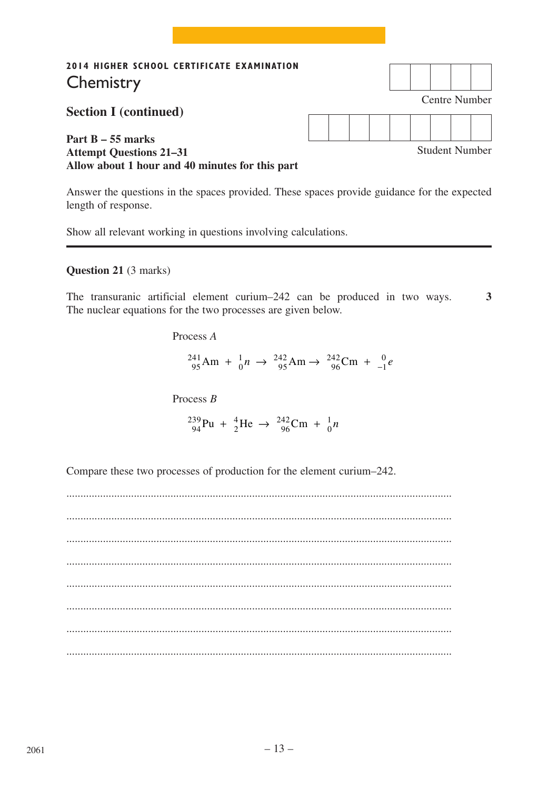

Answer the questions in the spaces provided. These spaces provide guidance for the expected length of response.

Show all relevant working in questions involving calculations.

#### **Question 21** (3 marks)

The transuranic artificial element curium–242 can be produced in two ways. The nuclear equations for the two processes are given below. **3**

Process *A*

95 241 0 1 95 242 96 242  $Am + \frac{1}{0}n \rightarrow \frac{242}{95}Am \rightarrow \frac{242}{96}Cm + \frac{0}{-1}e$ 

Process *B*

94 239 2 4 96 242  $Pu + \frac{4}{2}He \rightarrow \frac{242}{96}Cm + \frac{1}{0}n$ 

Compare these two processes of production for the element curium–242.

......................................................................................................................................... ......................................................................................................................................... ......................................................................................................................................... ......................................................................................................................................... ......................................................................................................................................... ......................................................................................................................................... ......................................................................................................................................... .........................................................................................................................................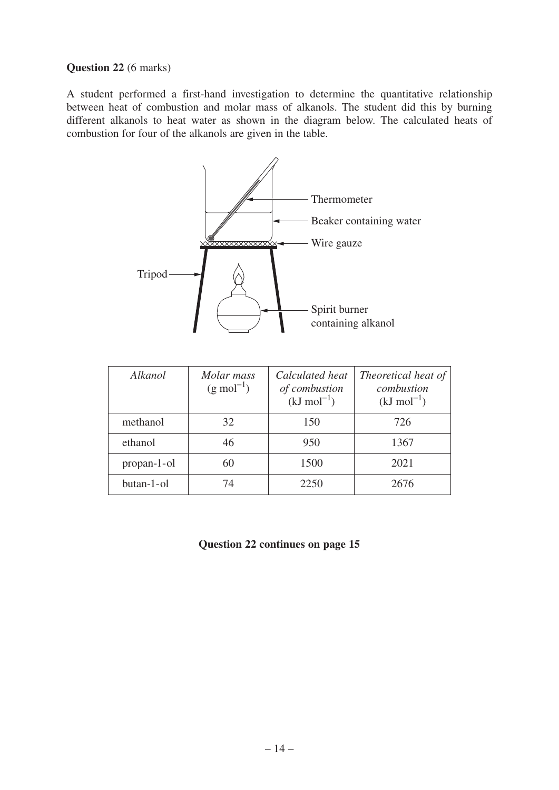#### **Question 22** (6 marks)

A student performed a first-hand investigation to determine the quantitative relationship between heat of combustion and molar mass of alkanols. The student did this by burning different alkanols to heat water as shown in the diagram below. The calculated heats of combustion for four of the alkanols are given in the table.



| Alkanol     | Molar mass<br>$(g \mod^{-1})$ | Calculated heat<br>of combustion<br>$(kJ \text{ mol}^{-1})$ | Theoretical heat of<br>combustion<br>$(kJ \text{ mol}^{-1})$ |
|-------------|-------------------------------|-------------------------------------------------------------|--------------------------------------------------------------|
| methanol    | 32                            | 150                                                         | 726                                                          |
| ethanol     | 46                            | 950                                                         | 1367                                                         |
| propan-1-ol | 60                            | 1500                                                        | 2021                                                         |
| butan-1-ol  | 74                            | 2250                                                        | 2676                                                         |

**Question 22 continues on page 15**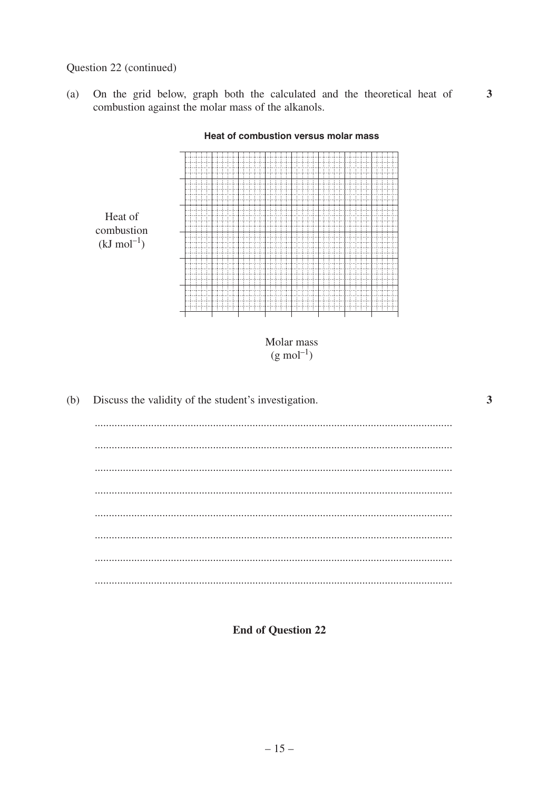#### Question 22 (continued)

On the grid below, graph both the calculated and the theoretical heat of  $(a)$ combustion against the molar mass of the alkanols.



#### Heat of combustion versus molar mass



 $(b)$ Discuss the validity of the student's investigation. 

**End of Question 22** 

 $\overline{\mathbf{3}}$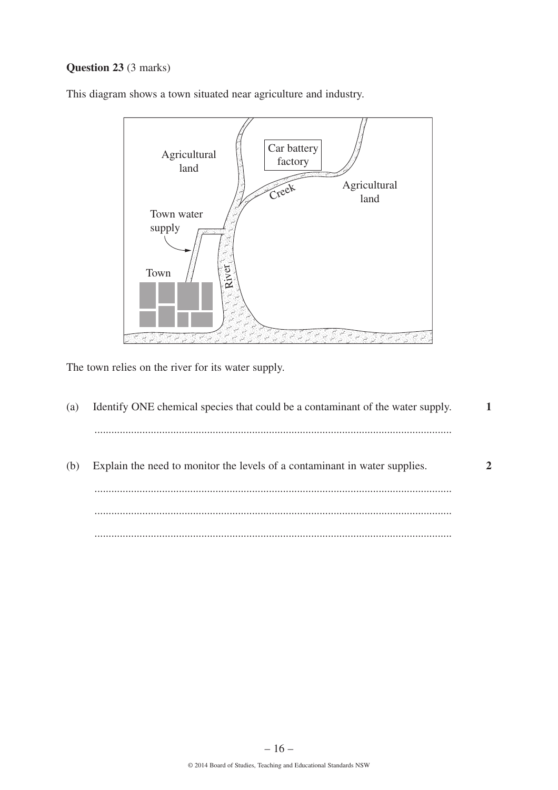## **Question 23** (3 marks)

This diagram shows a town situated near agriculture and industry.



The town relies on the river for its water supply.

| (a) | Identify ONE chemical species that could be a contaminant of the water supply. |               |
|-----|--------------------------------------------------------------------------------|---------------|
|     |                                                                                |               |
| (b) | Explain the need to monitor the levels of a contaminant in water supplies.     | $\mathcal{P}$ |
|     |                                                                                |               |
|     |                                                                                |               |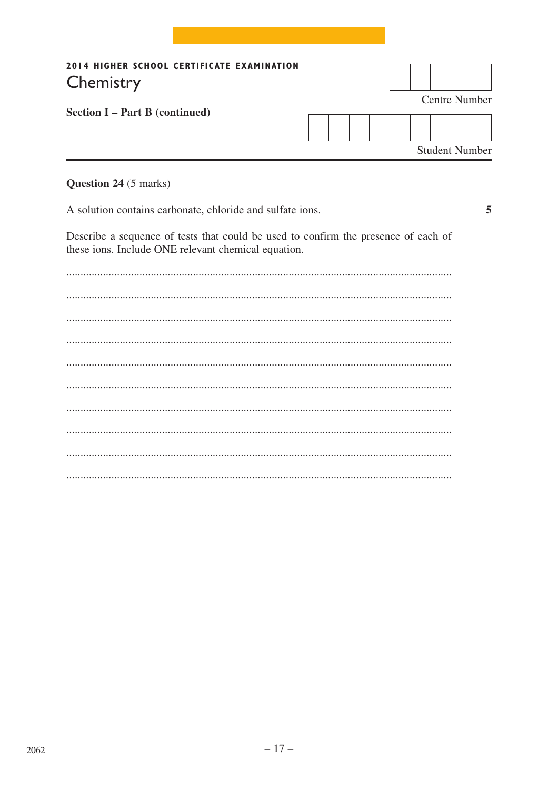| <b>2014 HIGHER SCHOOL CERTIFICATE EXAMINATION</b><br>Chemistry |  |  |  |                       |  |
|----------------------------------------------------------------|--|--|--|-----------------------|--|
| <b>Section I – Part B (continued)</b>                          |  |  |  | <b>Centre Number</b>  |  |
|                                                                |  |  |  |                       |  |
|                                                                |  |  |  | <b>Student Number</b> |  |

#### Question 24 (5 marks)

A solution contains carbonate, chloride and sulfate ions.

5

Describe a sequence of tests that could be used to confirm the presence of each of these ions. Include ONE relevant chemical equation.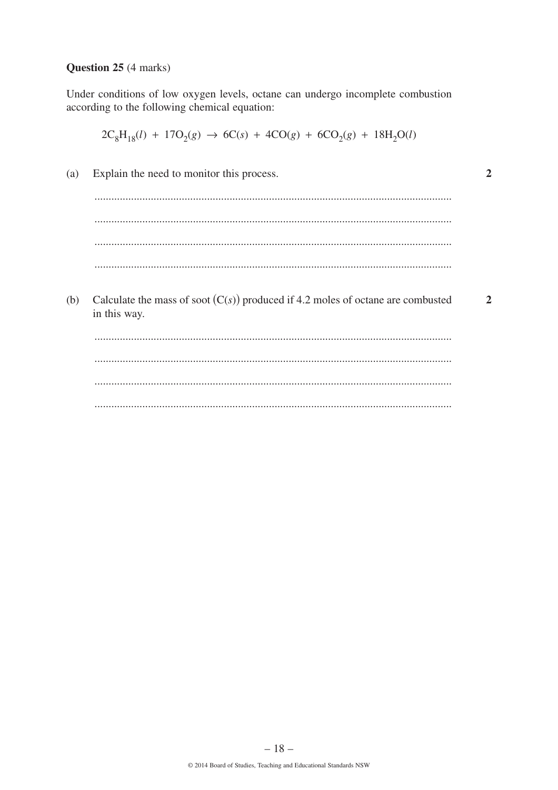#### Question 25 (4 marks)

Under conditions of low oxygen levels, octane can undergo incomplete combustion according to the following chemical equation:

$$
2C_8H_{18}(l) + 17O_2(g) \rightarrow 6C(s) + 4CO(g) + 6CO_2(g) + 18H_2O(l)
$$

- $\overline{2}$ Explain the need to monitor this process.  $(a)$  $\cdots$
- Calculate the mass of soot  $(C(s))$  produced if 4.2 moles of octane are combusted  $\overline{2}$ (b) in this way.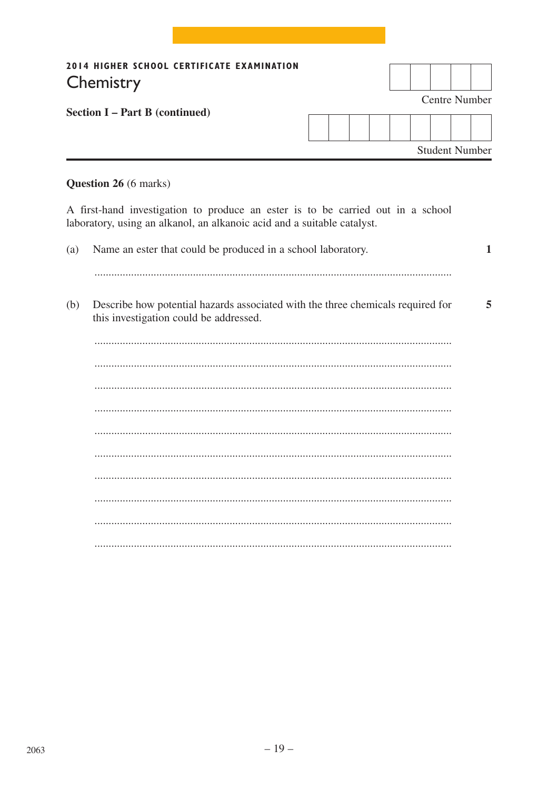| <b>2014 HIGHER SCHOOL CERTIFICATE EXAMINATION</b><br>Chemistry |  |  |  |  |                       |  |
|----------------------------------------------------------------|--|--|--|--|-----------------------|--|
| <b>Section I – Part B (continued)</b>                          |  |  |  |  | <b>Centre Number</b>  |  |
|                                                                |  |  |  |  |                       |  |
|                                                                |  |  |  |  | <b>Student Number</b> |  |

## **Question 26** (6 marks)

A first-hand investigation to produce an ester is to be carried out in a school laboratory, using an alkanol, an alkanoic acid and a suitable catalyst.

| (a) | Name an ester that could be produced in a school laboratory.                                                              | 1 |
|-----|---------------------------------------------------------------------------------------------------------------------------|---|
|     |                                                                                                                           |   |
| (b) | Describe how potential hazards associated with the three chemicals required for<br>this investigation could be addressed. | 5 |
|     |                                                                                                                           |   |
|     |                                                                                                                           |   |
|     |                                                                                                                           |   |
|     |                                                                                                                           |   |
|     |                                                                                                                           |   |
|     |                                                                                                                           |   |
|     |                                                                                                                           |   |
|     |                                                                                                                           |   |
|     |                                                                                                                           |   |
|     |                                                                                                                           |   |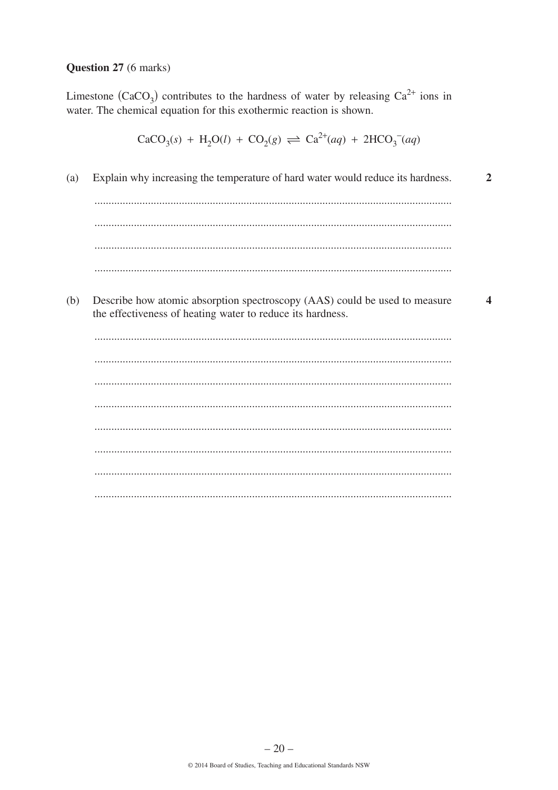#### Question 27 (6 marks)

Limestone (CaCO<sub>3</sub>) contributes to the hardness of water by releasing  $Ca^{2+}$  ions in water. The chemical equation for this exothermic reaction is shown.

$$
\text{CaCO}_3(s) + \text{H}_2\text{O}(l) + \text{CO}_2(g) \rightleftharpoons \text{Ca}^{2+}(aq) + 2\text{HCO}_3^-(aq)
$$

Explain why increasing the temperature of hard water would reduce its hardness.  $(a)$  $\overline{2}$ Describe how atomic absorption spectroscopy (AAS) could be used to measure  $(b)$  $\overline{\mathbf{4}}$ the effectiveness of heating water to reduce its hardness.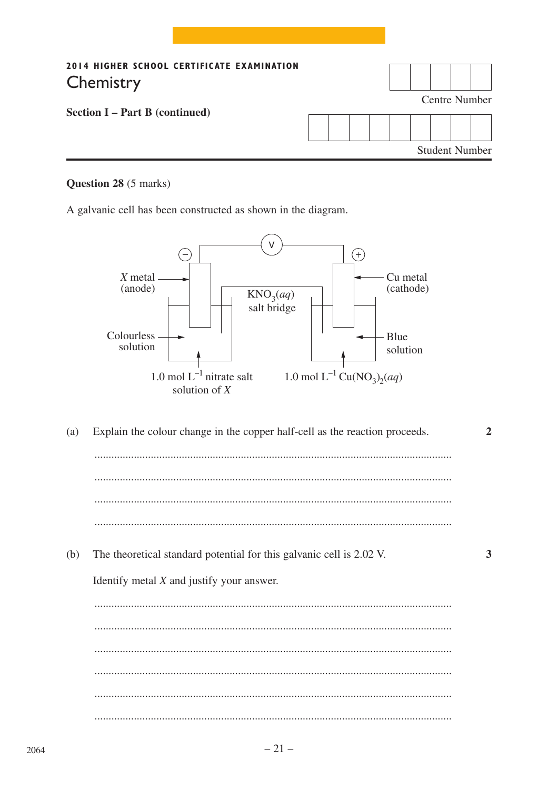

#### **Question 28** (5 marks)

A galvanic cell has been constructed as shown in the diagram.



# Explain the colour change in the copper half-cell as the reaction proceeds.  $(a)$

 $\overline{2}$ 

 $\overline{3}$ 

 $(b)$ The theoretical standard potential for this galvanic cell is 2.02 V.

Identify metal  $X$  and justify your answer.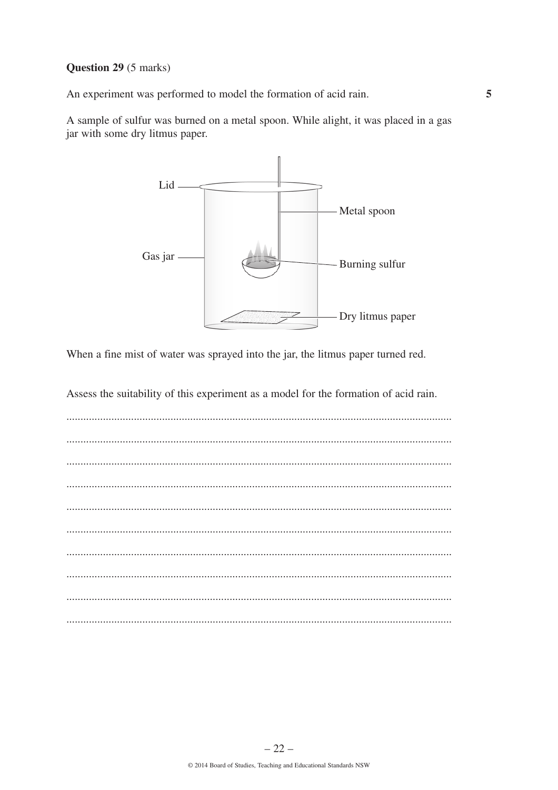#### Question 29 (5 marks)

An experiment was performed to model the formation of acid rain.

A sample of sulfur was burned on a metal spoon. While alight, it was placed in a gas jar with some dry litmus paper.



When a fine mist of water was sprayed into the jar, the litmus paper turned red.

Assess the suitability of this experiment as a model for the formation of acid rain.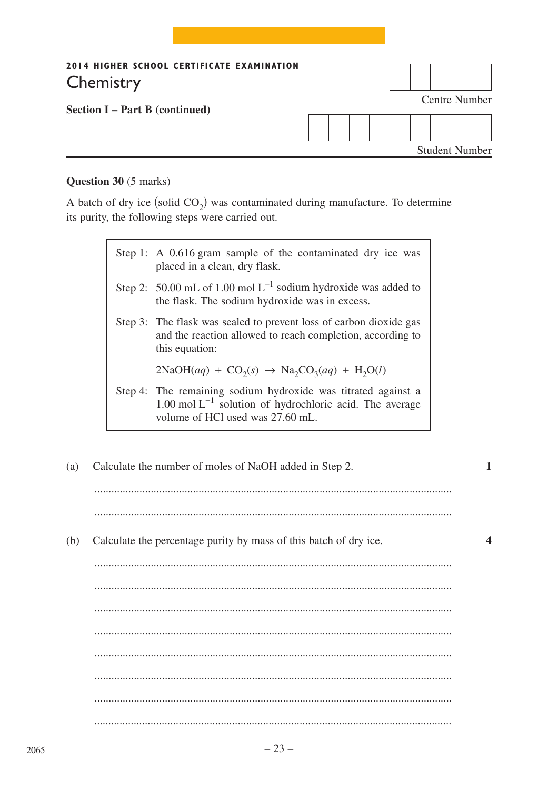

## **Question 30** (5 marks)

A batch of dry ice (solid  $CO_2$ ) was contaminated during manufacture. To determine its purity, the following steps were carried out.

| placed in a clean, dry flask.                                                                                                                                              |
|----------------------------------------------------------------------------------------------------------------------------------------------------------------------------|
| Step 2: 50.00 mL of 1.00 mol $L^{-1}$ sodium hydroxide was added to<br>the flask. The sodium hydroxide was in excess.                                                      |
| Step 3: The flask was sealed to prevent loss of carbon dioxide gas<br>and the reaction allowed to reach completion, according to<br>this equation:                         |
| $2NaOH(aq) + CO_2(s) \rightarrow Na_2CO_3(aq) + H_2O(l)$                                                                                                                   |
| Step 4: The remaining sodium hydroxide was titrated against a<br>$1.00$ mol L <sup>-1</sup> solution of hydrochloric acid. The average<br>volume of HCl used was 27.60 mL. |

|     | л.                                                                |  |
|-----|-------------------------------------------------------------------|--|
|     |                                                                   |  |
|     |                                                                   |  |
| (b) | Calculate the percentage purity by mass of this batch of dry ice. |  |
|     |                                                                   |  |
|     |                                                                   |  |
|     |                                                                   |  |
|     |                                                                   |  |
|     |                                                                   |  |
|     |                                                                   |  |
|     |                                                                   |  |
|     |                                                                   |  |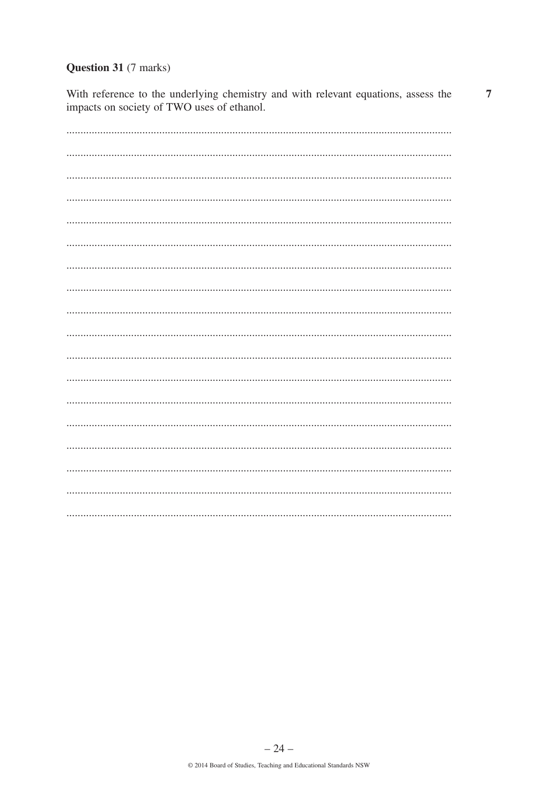#### Question 31 (7 marks)

With reference to the underlying chemistry and with relevant equations, assess the impacts on society of TWO uses of ethanol.

  $\overline{7}$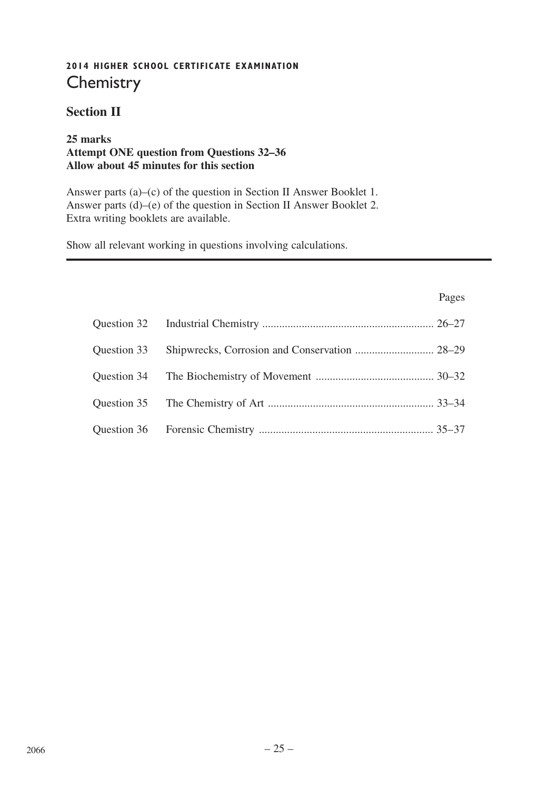# **2014 HIGHER SCHOOL CERTIFICATE EXAMINATION Chemistry**

# **Section II**

## **25 marks Attempt ONE question from Questions 32–36 Allow about 45 minutes for this section**

Answer parts (a)–(c) of the question in Section II Answer Booklet 1. Answer parts (d)–(e) of the question in Section II Answer Booklet 2. Extra writing booklets are available.

Show all relevant working in questions involving calculations.

|             | Pages |
|-------------|-------|
|             |       |
| Question 33 |       |
| Question 34 |       |
|             |       |
|             |       |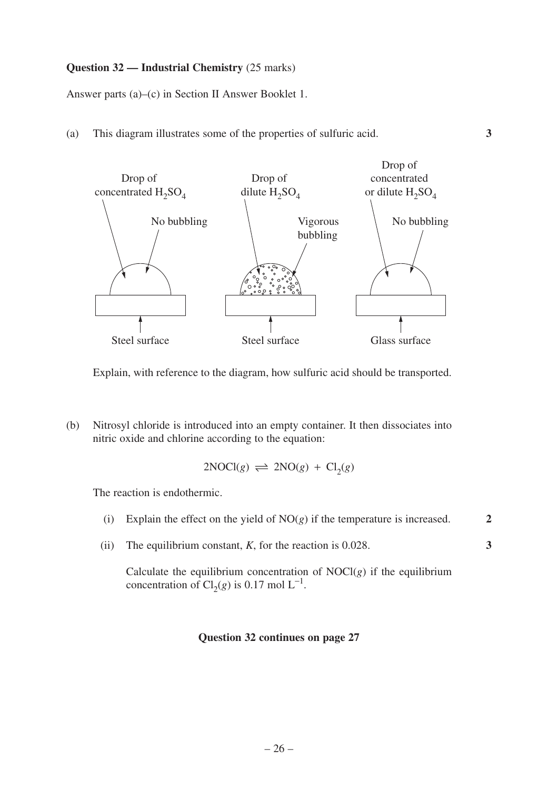#### **Question 32 — Industrial Chemistry** (25 marks)

Answer parts (a)–(c) in Section II Answer Booklet 1.





Explain, with reference to the diagram, how sulfuric acid should be transported.

(b) Nitrosyl chloride is introduced into an empty container. It then dissociates into nitric oxide and chlorine according to the equation:

$$
2NOCl(g) \rightleftharpoons 2NO(g) + Cl_2(g)
$$

The reaction is endothermic.

- (i) Explain the effect on the yield of  $NO(g)$  if the temperature is increased. **2**
- (ii) The equilibrium constant, *K*, for the reaction is 0.028. **3**

Calculate the equilibrium concentration of  $NOCI(g)$  if the equilibrium concentration of  $Cl_2(g)$  is 0.17 mol L<sup>-1</sup>.

#### **Question 32 continues on page 27**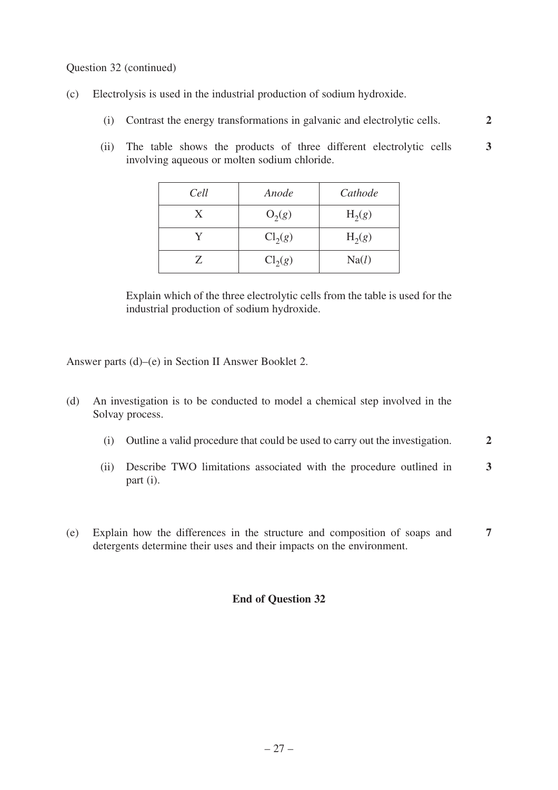#### Question 32 (continued)

- (c) Electrolysis is used in the industrial production of sodium hydroxide.
	- (i) Contrast the energy transformations in galvanic and electrolytic cells. **2**
	- (ii) The table shows the products of three different electrolytic cells involving aqueous or molten sodium chloride. **3**

| Cell | Anode               | Cathode  |
|------|---------------------|----------|
| X    | $O_2(g)$            | $H_2(g)$ |
|      | Cl <sub>2</sub> (g) | $H_2(g)$ |
| 7.   | Cl <sub>2</sub> (g) | Na(l)    |

Explain which of the three electrolytic cells from the table is used for the industrial production of sodium hydroxide.

Answer parts (d)–(e) in Section II Answer Booklet 2.

- (d) An investigation is to be conducted to model a chemical step involved in the Solvay process.
	- (i) Outline a valid procedure that could be used to carry out the investigation. **2**
	- (ii) Describe TWO limitations associated with the procedure outlined in part (i). **3**
- (e) Explain how the differences in the structure and composition of soaps and detergents determine their uses and their impacts on the environment. **7**

#### **End of Question 32**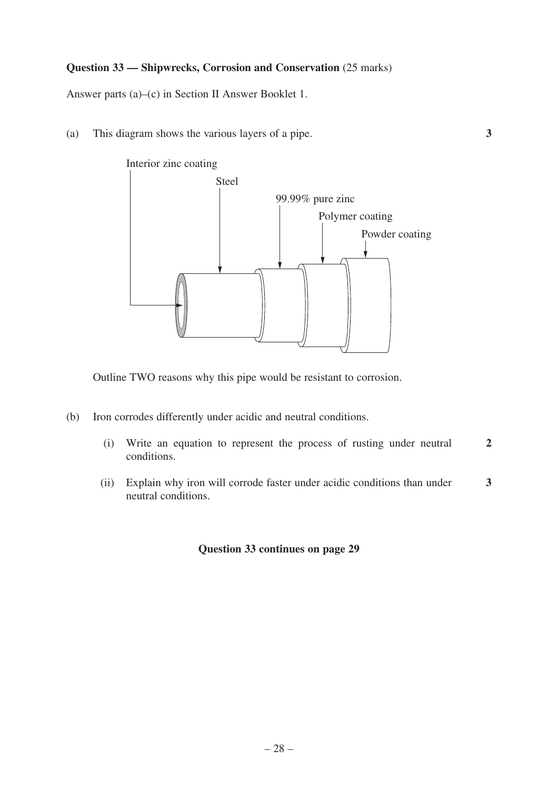## **Question 33 — Shipwrecks, Corrosion and Conservation** (25 marks)

Answer parts (a)–(c) in Section II Answer Booklet 1.

(a) This diagram shows the various layers of a pipe. **3**



Outline TWO reasons why this pipe would be resistant to corrosion.

- (b) Iron corrodes differently under acidic and neutral conditions.
	- (i) Write an equation to represent the process of rusting under neutral conditions. **2**
	- (ii) Explain why iron will corrode faster under acidic conditions than under neutral conditions. **3**

**Question 33 continues on page 29**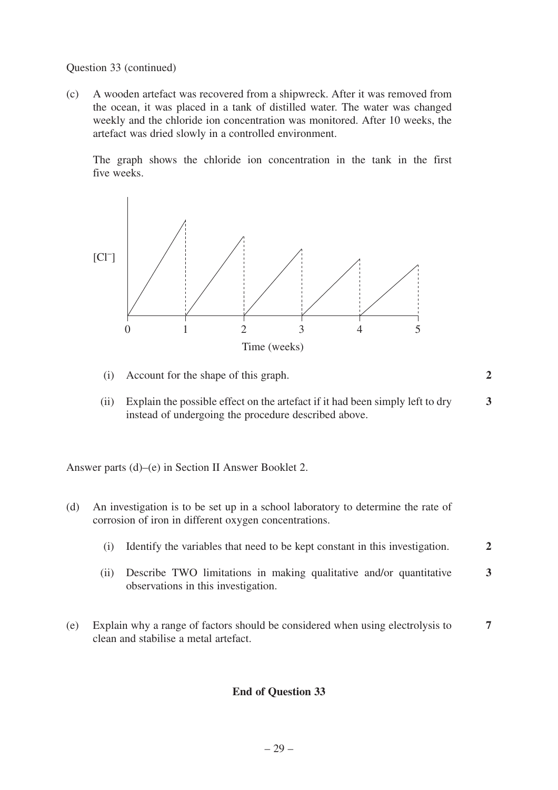#### Question 33 (continued)

(c) A wooden artefact was recovered from a shipwreck. After it was removed from the ocean, it was placed in a tank of distilled water. The water was changed weekly and the chloride ion concentration was monitored. After 10 weeks, the artefact was dried slowly in a controlled environment.

The graph shows the chloride ion concentration in the tank in the first five weeks.



- (i) Account for the shape of this graph. **2**
- (ii) Explain the possible effect on the artefact if it had been simply left to dry instead of undergoing the procedure described above.

**3**

Answer parts (d)–(e) in Section II Answer Booklet 2.

- (d) An investigation is to be set up in a school laboratory to determine the rate of corrosion of iron in different oxygen concentrations.
	- (i) Identify the variables that need to be kept constant in this investigation. **2**
	- (ii) Describe TWO limitations in making qualitative and/or quantitative observations in this investigation. **3**
- (e) Explain why a range of factors should be considered when using electrolysis to clean and stabilise a metal artefact. **7**

#### **End of Question 33**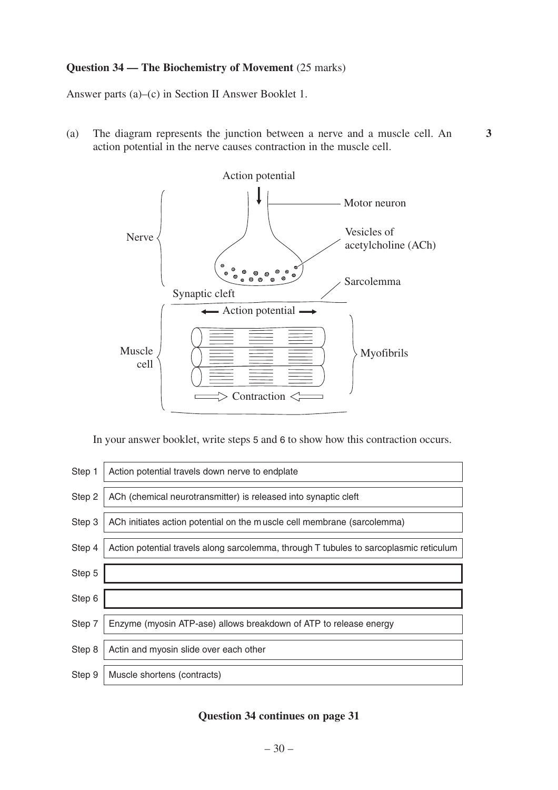#### **Question 34 — The Biochemistry of Movement** (25 marks)

Answer parts (a)–(c) in Section II Answer Booklet 1.

(a) The diagram represents the junction between a nerve and a muscle cell. An action potential in the nerve causes contraction in the muscle cell. **3**



In your answer booklet, write steps 5 and 6 to show how this contraction occurs.



#### **Question 34 continues on page 31**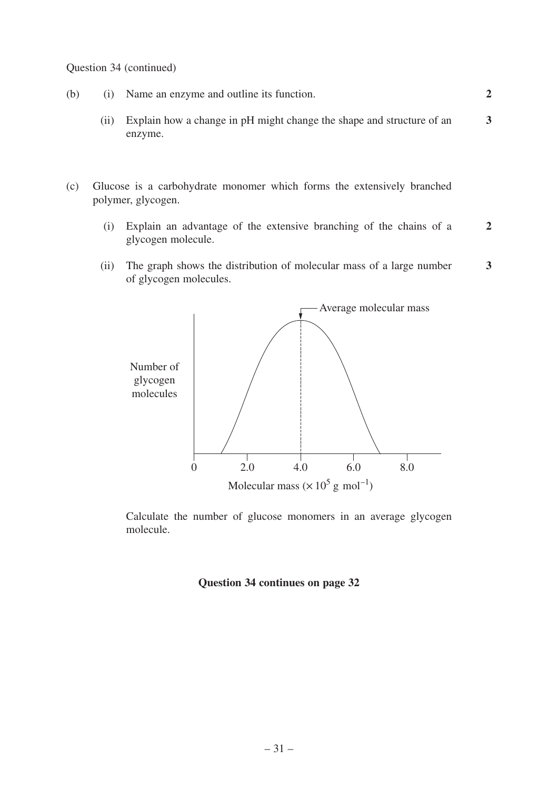#### Question 34 (continued)

| (b) | (1)  | Name an enzyme and outline its function.                                         | 2 |
|-----|------|----------------------------------------------------------------------------------|---|
|     | (11) | Explain how a change in pH might change the shape and structure of an<br>enzyme. | 3 |
|     |      |                                                                                  |   |

- (c) Glucose is a carbohydrate monomer which forms the extensively branched polymer, glycogen.
	- (i) Explain an advantage of the extensive branching of the chains of a glycogen molecule. **2**
	- (ii) The graph shows the distribution of molecular mass of a large number of glycogen molecules. **3**



Calculate the number of glucose monomers in an average glycogen molecule.

#### **Question 34 continues on page 32**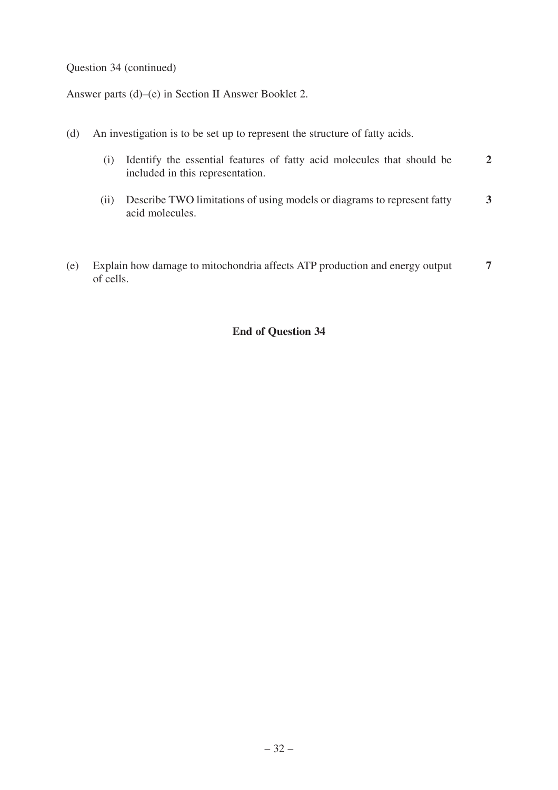## Question 34 (continued)

Answer parts (d)–(e) in Section II Answer Booklet 2.

(d) An investigation is to be set up to represent the structure of fatty acids.

| (i) Identify the essential features of fatty acid molecules that should be |  |
|----------------------------------------------------------------------------|--|
| included in this representation.                                           |  |

- (ii) Describe TWO limitations of using models or diagrams to represent fatty acid molecules. **3**
- (e) Explain how damage to mitochondria affects ATP production and energy output of cells. **7**

# **End of Question 34**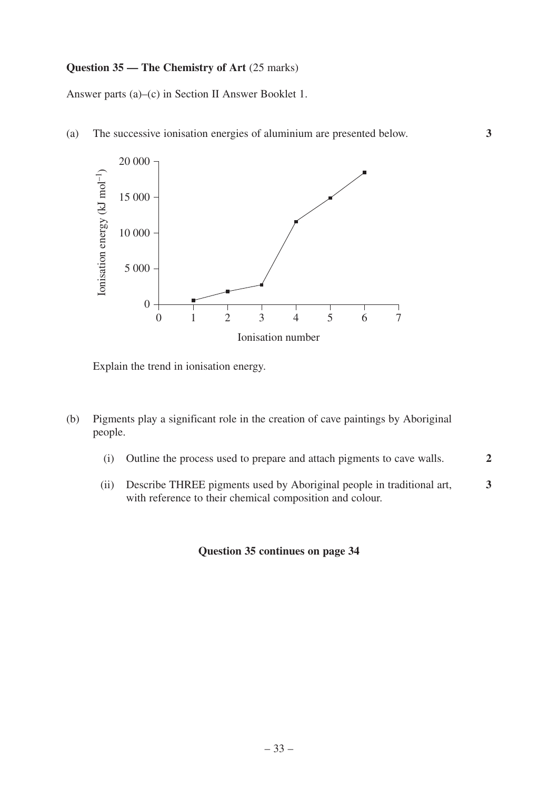## **Question 35 — The Chemistry of Art** (25 marks)

Answer parts (a)–(c) in Section II Answer Booklet 1.



(a) The successive ionisation energies of aluminium are presented below. **3**

Explain the trend in ionisation energy.

- (b) Pigments play a significant role in the creation of cave paintings by Aboriginal people.
	- (i) Outline the process used to prepare and attach pigments to cave walls. **2**
	- (ii) Describe THREE pigments used by Aboriginal people in traditional art, with reference to their chemical composition and colour. **3**

**Question 35 continues on page 34**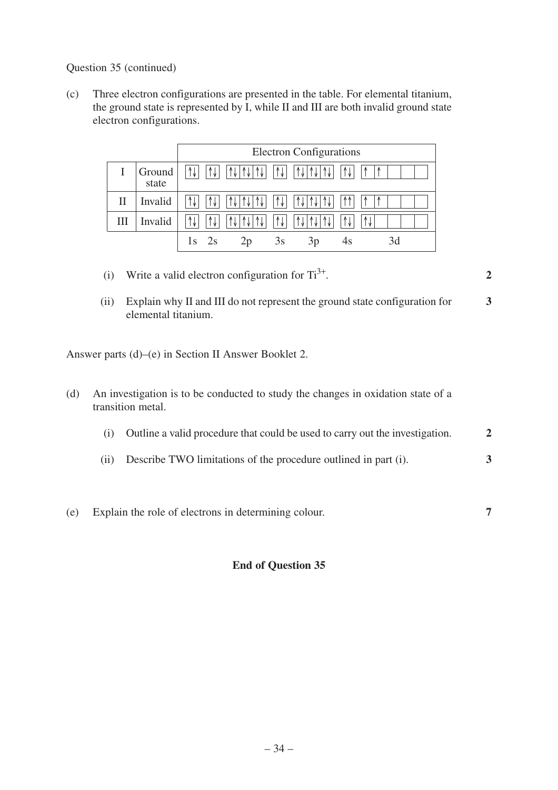Question 35 (continued)

(c) Three electron configurations are presented in the table. For elemental titanium, the ground state is represented by I, while II and III are both invalid ground state electron configurations.

|   |                 |    |    |                                                                           |     | <b>Electron Configurations</b> |    |  |
|---|-----------------|----|----|---------------------------------------------------------------------------|-----|--------------------------------|----|--|
| Ι | Ground<br>state |    |    | ึใ↓<br>$^{\text{\tiny{\textsf{T}}}}$ $^{\text{\tiny{\textsf{L}}}}$ .<br>↓ | Ťι. | 小                              |    |  |
| П | Invalid         |    |    |                                                                           | ŤJ. | 小                              |    |  |
| Ш | Invalid         |    |    |                                                                           |     |                                |    |  |
|   |                 | 1s | 2s | 2p                                                                        | 3s  | 3p                             | 4s |  |

- (i) Write a valid electron configuration for  $Ti^{3+}$ . **2**
- (ii) Explain why II and III do not represent the ground state configuration for elemental titanium. **3**

Answer parts (d)–(e) in Section II Answer Booklet 2.

(d) An investigation is to be conducted to study the changes in oxidation state of a transition metal.

|  |  |  | (i) Outline a valid procedure that could be used to carry out the investigation. |  |
|--|--|--|----------------------------------------------------------------------------------|--|
|--|--|--|----------------------------------------------------------------------------------|--|

(ii) Describe TWO limitations of the procedure outlined in part (i). **3**

**7**

(e) Explain the role of electrons in determining colour.

#### **End of Question 35**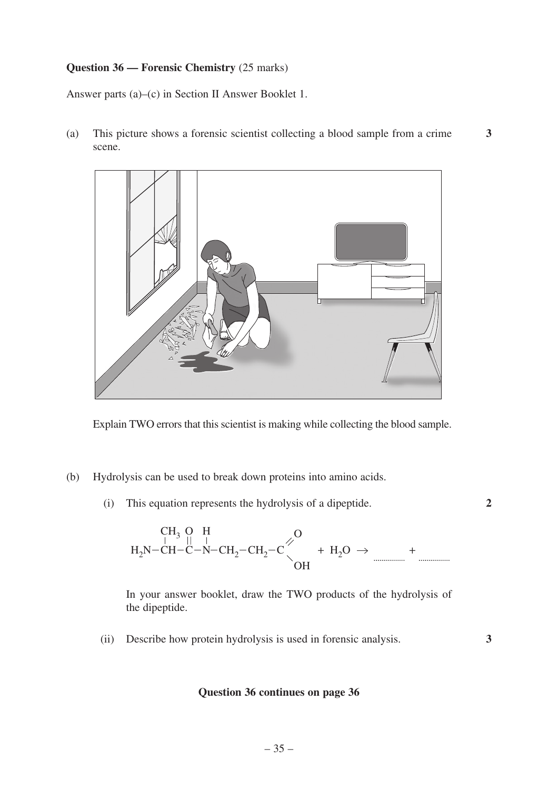#### **Question 36 — Forensic Chemistry** (25 marks)

Answer parts (a)–(c) in Section II Answer Booklet 1.

(a) This picture shows a forensic scientist collecting a blood sample from a crime scene.

**3**



Explain TWO errors that this scientist is making while collecting the blood sample.

- (b) Hydrolysis can be used to break down proteins into amino acids.
	- (i) This equation represents the hydrolysis of a dipeptide. **2**

<sup>H</sup> <sup>+</sup> 2N CH CH3 N CH2 H C O O CH2 C OH <sup>+</sup> H2O

In your answer booklet, draw the TWO products of the hydrolysis of the dipeptide.

(ii) Describe how protein hydrolysis is used in forensic analysis. **3**

#### **Question 36 continues on page 36**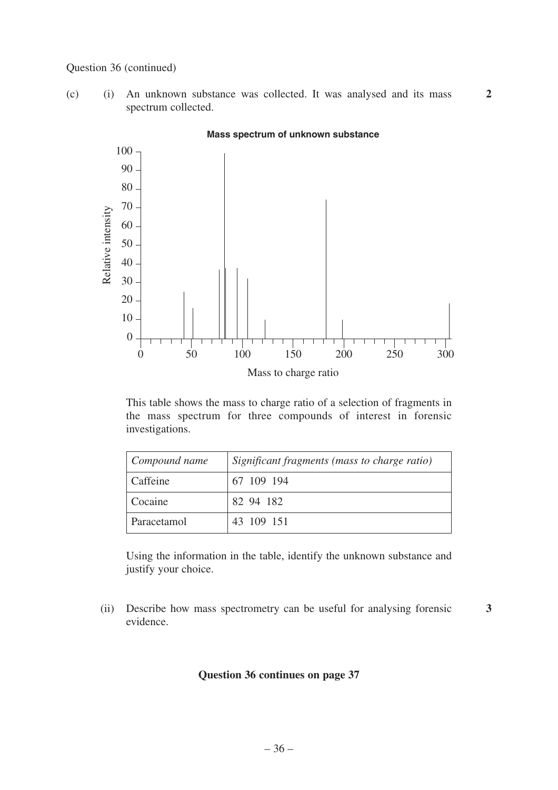#### Question 36 (continued)

(c) (i) An unknown substance was collected. It was analysed and its mass spectrum collected.

**2**

# **Mass spectrum of unknown substance** 100 90 80 70 Relative intensity Relative intensity 60 50 40 30 20 10 0 0 50 100 150 200 250 300 Mass to charge ratio

This table shows the mass to charge ratio of a selection of fragments in the mass spectrum for three compounds of interest in forensic investigations.

| Compound name | Significant fragments (mass to charge ratio) |
|---------------|----------------------------------------------|
| Caffeine      | 67 109 194                                   |
| Cocaine       | 82 94 182                                    |
| Paracetamol   | 43 109 151                                   |

Using the information in the table, identify the unknown substance and justify your choice.

(ii) Describe how mass spectrometry can be useful for analysing forensic evidence. **3**

## **Question 36 continues on page 37**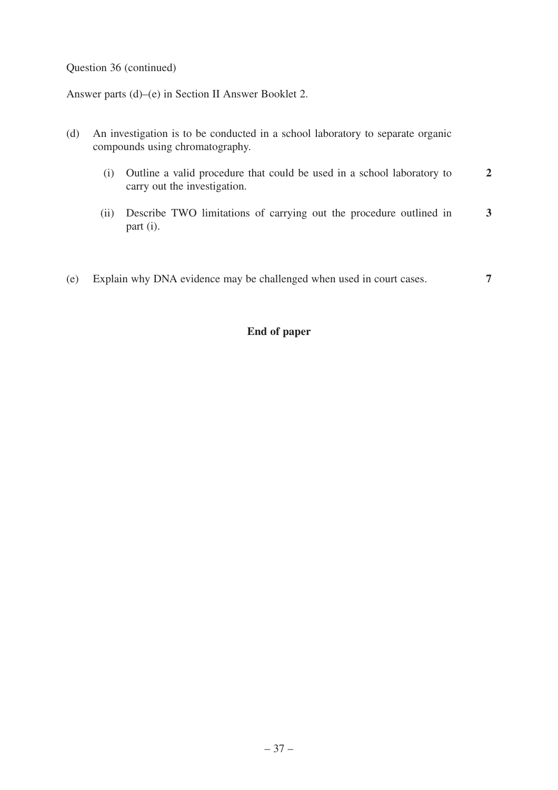## Question 36 (continued)

Answer parts (d)–(e) in Section II Answer Booklet 2.

- (d) An investigation is to be conducted in a school laboratory to separate organic compounds using chromatography.
	- (i) Outline a valid procedure that could be used in a school laboratory to carry out the investigation. **2**
	- (ii) Describe TWO limitations of carrying out the procedure outlined in part (i). **3**
- (e) Explain why DNA evidence may be challenged when used in court cases. **7**

#### **End of paper**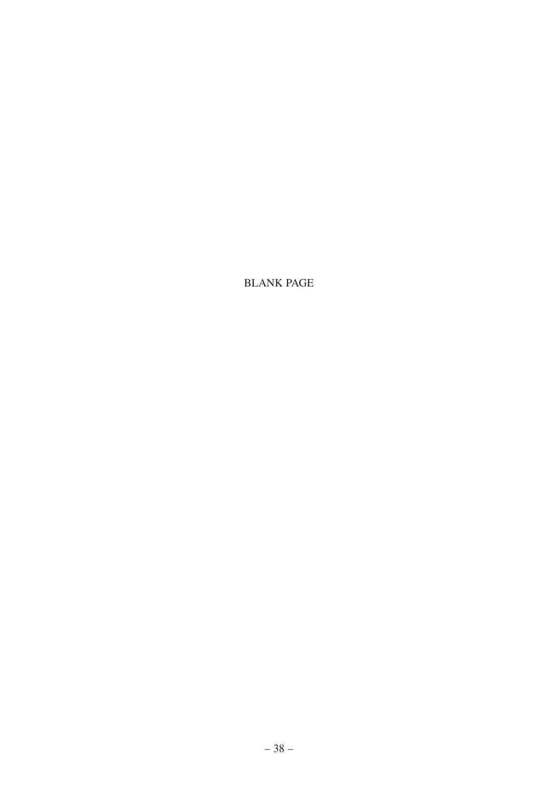**BLANK PAGE**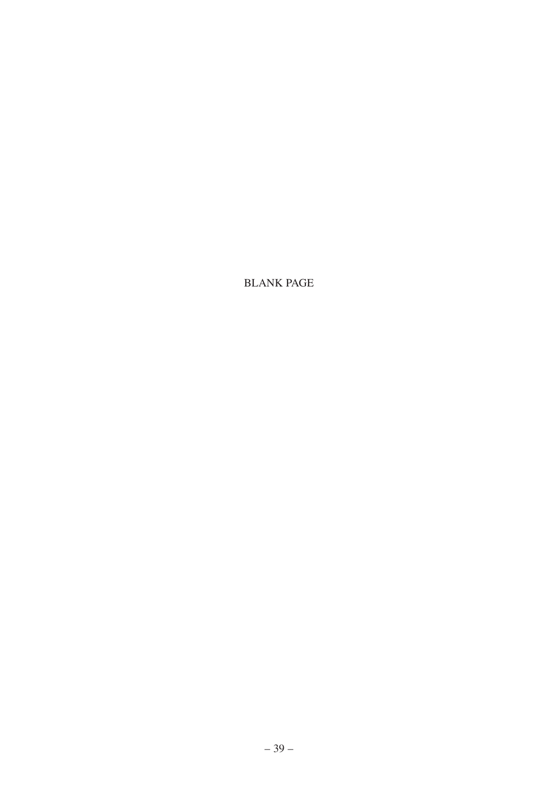**BLANK PAGE**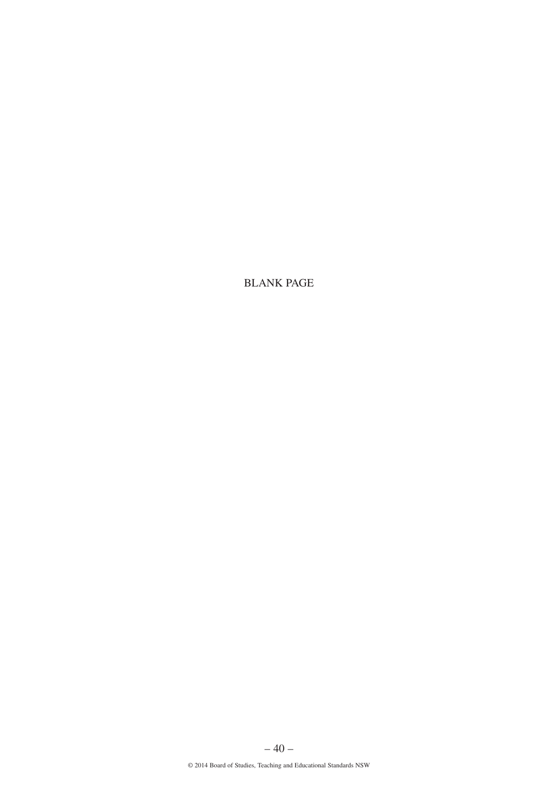**BLANK PAGE**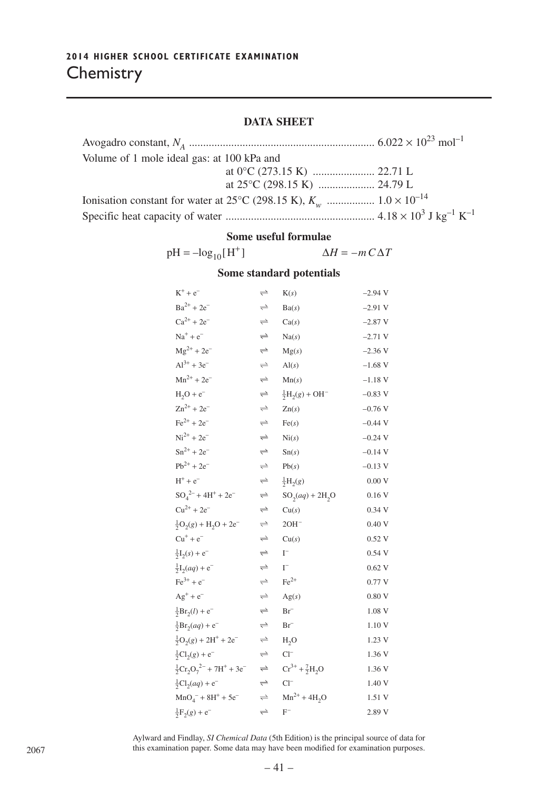## **DATA SHEET**

| Volume of 1 mole ideal gas: at 100 kPa and                                        |  |
|-----------------------------------------------------------------------------------|--|
|                                                                                   |  |
|                                                                                   |  |
| Ionisation constant for water at 25°C (298.15 K), $K_{\mu}$ $1.0 \times 10^{-14}$ |  |
|                                                                                   |  |

## **Some useful formulae**

 $pH = -\log_{10}[H^+]$   $\Delta H = -m C \Delta T$ 

## **Some standard potentials**

| $K^+ + e^-$                                                                                    | $\rightleftharpoons$ | K(s)                        | $-2.94$ V |
|------------------------------------------------------------------------------------------------|----------------------|-----------------------------|-----------|
| $Ba^{2+} + 2e^{-}$                                                                             | $\rightleftharpoons$ | Ba(s)                       | $-2.91V$  |
| $Ca^{2+} + 2e^{-}$                                                                             | $\rightleftharpoons$ | Ca(s)                       | $-2.87$ V |
| $Na^+ + e^-$                                                                                   | $\rightleftharpoons$ | Na(s)                       | $-2.71$ V |
| $Mg^{2+} + 2e^{-}$                                                                             | $\rightleftharpoons$ | Mg(s)                       | $-2.36$ V |
| $Al^{3+} + 3e^{-}$                                                                             | $\rightleftharpoons$ | $\mathrm{Al}(s)$            | $-1.68$ V |
| $Mn^{2+} + 2e^-$                                                                               | $\rightleftharpoons$ | Mn(s)                       | $-1.18$ V |
| $H_2O + e^-$                                                                                   | $\rightleftharpoons$ | $\frac{1}{2}H_2(g) + OH^-$  | $-0.83$ V |
| $Zn^{2+} + 2e^-$                                                                               | $\rightleftharpoons$ | Zn(s)                       | $-0.76$ V |
| $Fe^{2+} + 2e^{-}$                                                                             | $\rightleftharpoons$ | Fe(s)                       | $-0.44$ V |
| $Ni^{2+} + 2e^{-}$                                                                             | $\rightleftharpoons$ | Ni(s)                       | $-0.24$ V |
| $Sn^{2+} + 2e^-$                                                                               | $\rightleftharpoons$ | Sn(s)                       | $-0.14$ V |
| $Pb^{2+} + 2e^{-}$                                                                             | $\rightleftharpoons$ | Pb(s)                       | $-0.13$ V |
| $H^{+} + e^{-}$                                                                                | $\rightleftharpoons$ | $\frac{1}{2}H_2(g)$         | 0.00V     |
| $SO_4^{2-} + 4H^+ + 2e^-$                                                                      | $\rightleftharpoons$ | $SO_2(aq) + 2H_2O$          | 0.16V     |
| $Cu^{2+} + 2e^{-}$                                                                             | $\rightleftharpoons$ | Cu(s)                       | 0.34 V    |
| $\frac{1}{2}O_2(g) + H_2O + 2e^{-}$                                                            | $\rightleftharpoons$ | $2OH^-$                     | 0.40V     |
| $Cu^+ + e^-$                                                                                   | $\rightleftharpoons$ | Cu(s)                       | 0.52V     |
| $\frac{1}{2}I_2(s) + e^{-}$                                                                    | $\rightleftharpoons$ | $I^-$                       | 0.54V     |
| $\frac{1}{2}I_2(aq) + e^{-}$                                                                   | $\rightleftharpoons$ | $I^-$                       | $0.62$ V  |
| $Fe^{3+} + e^{-}$                                                                              | $\rightleftharpoons$ | $Fe2+$                      | 0.77 V    |
| $Ag^+ + e^-$                                                                                   | $\rightleftharpoons$ | Ag(s)                       | 0.80V     |
| $\frac{1}{2}Br_2(l) + e^{-}$                                                                   | $\rightleftharpoons$ | $Br^-$                      | $1.08$ V  |
| $\frac{1}{2}Br_2(aq) + e^{-}$                                                                  | $\rightleftharpoons$ | $Br^-$                      | 1.10 V    |
| $\frac{1}{2}O_2(g) + 2H^+ + 2e^-$                                                              | $\rightleftharpoons$ | H <sub>2</sub> O            | 1.23V     |
| $\frac{1}{2}Cl_2(g) + e^{-}$                                                                   | $\rightleftharpoons$ | $Cl^{-}$                    | 1.36 V    |
| $\frac{1}{2}$ Cr <sub>2</sub> O <sub>7</sub> <sup>2-</sup> + 7H <sup>+</sup> + 3e <sup>-</sup> | $\rightleftharpoons$ | $Cr^{3+} + \frac{7}{2}H_2O$ | 1.36V     |
| $\frac{1}{2}Cl_2(aq) + e^{-}$                                                                  | $\rightleftharpoons$ | $Cl^{-}$                    | 1.40 V    |
| $MnO_4^- + 8H^+ + 5e^-$                                                                        | $\rightleftharpoons$ | $Mn^{2+} + 4H_2O$           | 1.51 V    |
| $\frac{1}{2}F_2(g) + e^{-}$                                                                    | $\rightleftharpoons$ | $F^-$                       | 2.89 V    |

Aylward and Findlay, *SI Chemical Data* (5th Edition) is the principal source of data for this examination paper. Some data may have been modified for examination purposes.